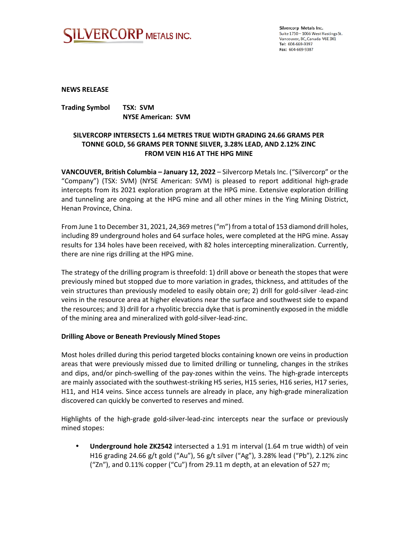# **SILVERCORP METALS INC.**

Silvercorp Metals Inc. Suite 1750 - 1066 West Hastings St. Vancouver, BC, Canada V6E 3X1 Tel: 604-669-9397 Fax: 604-669-9387

**NEWS RELEASE**

**Trading Symbol TSX: SVM NYSE American: SVM**

# **SILVERCORP INTERSECTS 1.64 METRES TRUE WIDTH GRADING 24.66 GRAMS PER TONNE GOLD, 56 GRAMS PER TONNE SILVER, 3.28% LEAD, AND 2.12% ZINC FROM VEIN H16 AT THE HPG MINE**

**VANCOUVER, British Columbia – January 12, 2022** – Silvercorp Metals Inc. ("Silvercorp" or the "Company") (TSX: SVM) (NYSE American: SVM) is pleased to report additional high-grade intercepts from its 2021 exploration program at the HPG mine. Extensive exploration drilling and tunneling are ongoing at the HPG mine and all other mines in the Ying Mining District, Henan Province, China.

From June 1 to December 31, 2021, 24,369 metres ("m") from a total of 153 diamond drill holes, including 89 underground holes and 64 surface holes, were completed at the HPG mine. Assay results for 134 holes have been received, with 82 holes intercepting mineralization. Currently, there are nine rigs drilling at the HPG mine.

The strategy of the drilling program is threefold: 1) drill above or beneath the stopes that were previously mined but stopped due to more variation in grades, thickness, and attitudes of the vein structures than previously modeled to easily obtain ore; 2) drill for gold-silver -lead-zinc veins in the resource area at higher elevations near the surface and southwest side to expand the resources; and 3) drill for a rhyolitic breccia dyke that is prominently exposed in the middle of the mining area and mineralized with gold-silver-lead-zinc.

## **Drilling Above or Beneath Previously Mined Stopes**

Most holes drilled during this period targeted blocks containing known ore veins in production areas that were previously missed due to limited drilling or tunneling, changes in the strikes and dips, and/or pinch-swelling of the pay-zones within the veins. The high-grade intercepts are mainly associated with the southwest-striking H5 series, H15 series, H16 series, H17 series, H11, and H14 veins. Since access tunnels are already in place, any high-grade mineralization discovered can quickly be converted to reserves and mined.

Highlights of the high-grade gold-silver-lead-zinc intercepts near the surface or previously mined stopes:

 **Underground hole ZK2542** intersected a 1.91 m interval (1.64 m true width) of vein H16 grading 24.66 g/t gold ("Au"), 56 g/t silver ("Ag"), 3.28% lead ("Pb"), 2.12% zinc ("Zn"), and 0.11% copper ("Cu") from 29.11 m depth, at an elevation of 527 m;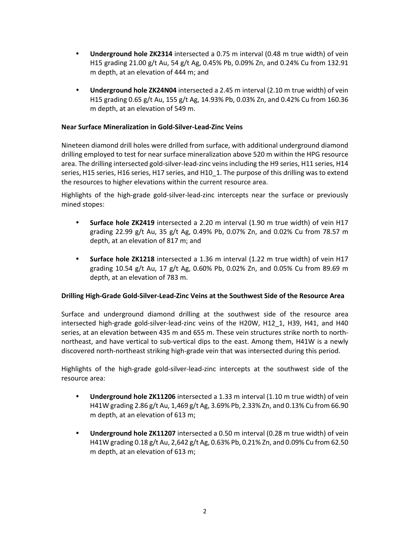- **Underground hole ZK2314** intersected a 0.75 m interval (0.48 m true width) of vein H15 grading 21.00 g/t Au, 54 g/t Ag, 0.45% Pb, 0.09% Zn, and 0.24% Cu from 132.91 m depth, at an elevation of 444 m; and
- **Underground hole ZK24N04** intersected a 2.45 m interval (2.10 m true width) of vein H15 grading 0.65 g/t Au, 155 g/t Ag, 14.93% Pb, 0.03% Zn, and 0.42% Cu from 160.36 m depth, at an elevation of 549 m.

# **Near Surface Mineralization in Gold-Silver-Lead-Zinc Veins**

Nineteen diamond drill holes were drilled from surface, with additional underground diamond drilling employed to test for near surface mineralization above 520 m within the HPG resource area. The drilling intersected gold-silver-lead-zinc veinsincluding the H9 series, H11 series, H14 series, H15 series, H16 series, H17 series, and H10 1. The purpose of this drilling was to extend the resources to higher elevations within the current resource area.

Highlights of the high-grade gold-silver-lead-zinc intercepts near the surface or previously mined stopes:

- **Surface hole ZK2419** intersected a 2.20 m interval (1.90 m true width) of vein H17 grading 22.99 g/t Au, 35 g/t Ag, 0.49% Pb, 0.07% Zn, and 0.02% Cu from 78.57 m depth, at an elevation of 817 m; and
- **Surface hole ZK1218** intersected a 1.36 m interval (1.22 m true width) of vein H17 grading 10.54 g/t Au, 17 g/t Ag, 0.60% Pb, 0.02% Zn, and 0.05% Cu from 89.69 m depth, at an elevation of 783 m.

## **Drilling High-Grade Gold-Silver-Lead-Zinc Veins at the Southwest Side of the Resource Area**

Surface and underground diamond drilling at the southwest side of the resource area intersected high-grade gold-silver-lead-zinc veins of the H20W, H12\_1, H39, H41, and H40 series, at an elevation between 435 m and 655 m. These vein structures strike north to northnortheast, and have vertical to sub-vertical dips to the east. Among them, H41W is a newly discovered north-northeast striking high-grade vein that was intersected during this period.

Highlights of the high-grade gold-silver-lead-zinc intercepts at the southwest side of the resource area:

- **Underground hole ZK11206** intersected a 1.33 m interval (1.10 m true width) of vein H41W grading 2.86 g/t Au, 1,469 g/t Ag, 3.69% Pb, 2.33% Zn, and 0.13% Cu from 66.90 m depth, at an elevation of 613 m;
- **Underground hole ZK11207** intersected a 0.50 m interval (0.28 m true width) of vein H41W grading 0.18 g/t Au, 2,642 g/t Ag, 0.63% Pb, 0.21% Zn, and 0.09% Cu from 62.50 m depth, at an elevation of 613 m;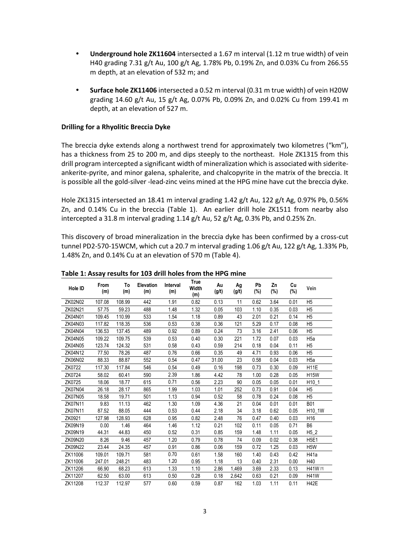- **Underground hole ZK11604** intersected a 1.67 m interval (1.12 m true width) of vein H40 grading 7.31 g/t Au, 100 g/t Ag, 1.78% Pb, 0.19% Zn, and 0.03% Cu from 266.55 m depth, at an elevation of 532 m; and
- **Surface hole ZK11406** intersected a 0.52 m interval (0.31 m true width) of vein H20W grading 14.60 g/t Au, 15 g/t Ag, 0.07% Pb, 0.09% Zn, and 0.02% Cu from 199.41 m depth, at an elevation of 527 m.

## **Drilling for a Rhyolitic Breccia Dyke**

The breccia dyke extends along a northwest trend for approximately two kilometres ("km"), has a thickness from 25 to 200 m, and dips steeply to the northeast. Hole ZK1315 from this drill program intercepted a significant width of mineralization which is associated with sideriteankerite-pyrite, and minor galena, sphalerite, and chalcopyrite in the matrix of the breccia. It is possible all the gold-silver -lead-zinc veins mined at the HPG mine have cut the breccia dyke.

Hole ZK1315 intersected an 18.41 m interval grading 1.42 g/t Au, 122 g/t Ag, 0.97% Pb, 0.56% Zn, and 0.14% Cu in the breccia (Table 1). An earlier drill hole ZK1511 from nearby also intercepted a 31.8 m interval grading 1.14 g/t Au, 52 g/t Ag, 0.3% Pb, and 0.25% Zn.

This discovery of broad mineralization in the breccia dyke has been confirmed by a cross-cut tunnel PD2-570-15WCM, which cut a 20.7 m interval grading 1.06 g/t Au, 122 g/t Ag, 1.33% Pb, 1.48% Zn, and 0.14% Cu at an elevation of 570 m (Table 4).

| Hole ID        | From<br>(m) | To<br>(m) | Elevation<br>(m) | Interval<br>(m) | <b>True</b><br>Width<br>(m) | Au<br>(g/t) | Ag<br>(g/t) | Pb<br>(%) | Zn<br>$(\%)$ | Cu<br>(%) | Vein               |
|----------------|-------------|-----------|------------------|-----------------|-----------------------------|-------------|-------------|-----------|--------------|-----------|--------------------|
| <b>ZK02N02</b> | 107.08      | 108.99    | 442              | 1.91            | 0.82                        | 0.13        | 11          | 0.62      | 3.64         | 0.01      | H <sub>5</sub>     |
| ZK02N21        | 57.75       | 59.23     | 488              | 1.48            | 1.32                        | 0.05        | 103         | 1.10      | 0.35         | 0.03      | H <sub>5</sub>     |
| ZK04N01        | 109.45      | 110.99    | 533              | 1.54            | 1.18                        | 0.89        | 43          | 2.01      | 0.21         | 0.14      | H <sub>5</sub>     |
| ZK04N03        | 117.82      | 118.35    | 536              | 0.53            | 0.38                        | 0.36        | 121         | 5.29      | 0.17         | 0.08      | H <sub>5</sub>     |
| ZK04N04        | 136.53      | 137.45    | 489              | 0.92            | 0.89                        | 0.24        | 73          | 3.16      | 2.41         | 0.06      | H <sub>5</sub>     |
| ZK04N05        | 109.22      | 109.75    | 539              | 0.53            | 0.40                        | 0.30        | 221         | 1.72      | 0.07         | 0.03      | H <sub>5a</sub>    |
| ZK04N05        | 123.74      | 124.32    | 531              | 0.58            | 0.43                        | 0.59        | 214         | 0.18      | 0.04         | 0.11      | H <sub>5</sub>     |
| ZK04N12        | 77.50       | 78.26     | 487              | 0.76            | 0.66                        | 0.35        | 49          | 4.71      | 0.93         | 0.06      | H <sub>5</sub>     |
| <b>ZK06N02</b> | 88.33       | 88.87     | 552              | 0.54            | 0.47                        | 31.00       | 23          | 0.58      | 0.04         | 0.03      | H <sub>5a</sub>    |
| ZK0722         | 117.30      | 117.84    | 546              | 0.54            | 0.49                        | 0.16        | 198         | 0.73      | 0.30         | 0.09      | <b>H11E</b>        |
| ZK0724         | 58.02       | 60.41     | 590              | 2.39            | 1.86                        | 4.42        | 78          | 1.00      | 0.28         | 0.05      | <b>H15W</b>        |
| ZK0725         | 18.06       | 18.77     | 615              | 0.71            | 0.56                        | 2.23        | 90          | 0.05      | 0.05         | 0.01      | H <sub>10</sub> 1  |
| <b>ZK07N04</b> | 26.18       | 28.17     | 865              | 1.99            | 1.03                        | 1.01        | 252         | 0.73      | 0.91         | 0.04      | H <sub>5</sub>     |
| <b>ZK07N05</b> | 18.58       | 19.71     | 501              | 1.13            | 0.94                        | 0.52        | 58          | 0.78      | 0.24         | 0.08      | H <sub>5</sub>     |
| ZK07N11        | 9.83        | 11.13     | 462              | 1.30            | 1.09                        | 4.36        | 21          | 0.04      | 0.01         | 0.01      | <b>B01</b>         |
| ZK07N11        | 87.52       | 88.05     | 444              | 0.53            | 0.44                        | 2.18        | 34          | 3.18      | 0.62         | 0.05      | H <sub>10</sub> 1W |
| ZK0921         | 127.98      | 128.93    | 628              | 0.95            | 0.82                        | 2.48        | 76          | 0.47      | 0.40         | 0.03      | H <sub>16</sub>    |
| ZK09N19        | 0.00        | 1.46      | 464              | 1.46            | 1.12                        | 0.21        | 102         | 0.11      | 0.05         | 0.71      | B <sub>6</sub>     |
| ZK09N19        | 44.31       | 44.83     | 450              | 0.52            | 0.31                        | 0.85        | 159         | 1.48      | 1.11         | 0.05      | H5 <sub>2</sub>    |
| ZK09N20        | 8.26        | 9.46      | 457              | 1.20            | 0.79                        | 0.78        | 74          | 0.09      | 0.02         | 0.38      | <b>H5E1</b>        |
| ZK09N22        | 23.44       | 24.35     | 457              | 0.91            | 0.86                        | 0.06        | 159         | 0.72      | 1.25         | 0.03      | H <sub>5</sub> W   |
| ZK11006        | 109.01      | 109.71    | 581              | 0.70            | 0.61                        | 1.58        | 160         | 1.40      | 0.43         | 0.42      | H41a               |
| ZK11006        | 247.01      | 248.21    | 483              | 1.20            | 0.95                        | 1.18        | 13          | 0.40      | 2.31         | 0.00      | H40                |
| ZK11206        | 66.90       | 68.23     | 613              | 1.33            | 1.10                        | 2.86        | 1.469       | 3.69      | 2.33         | 0.13      | H41W [1]           |
| ZK11207        | 62.50       | 63.00     | 613              | 0.50            | 0.28                        | 0.18        | 2,642       | 0.63      | 0.21         | 0.09      | <b>H41W</b>        |
| ZK11208        | 112.37      | 112.97    | 577              | 0.60            | 0.59                        | 0.87        | 162         | 1.03      | 1.11         | 0.11      | <b>H42E</b>        |

**Table 1: Assay results for 103 drill holes from the HPG mine**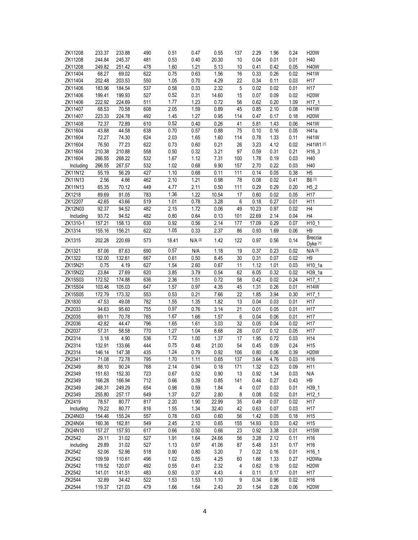| ZK11208   | 233.37 | 233.88 | 490 | 0.51  | 0.47      | 0.55  | 137                     | 2.29  | 1.96 | 0.24 | <b>H20W</b>         |
|-----------|--------|--------|-----|-------|-----------|-------|-------------------------|-------|------|------|---------------------|
| ZK11208   | 244.84 | 245.37 | 481 | 0.53  | 0.40      | 20.30 | 10                      | 0.04  | 0.01 | 0.01 | H40                 |
| ZK11208   | 249.82 | 251.42 | 478 | 1.60  | 1.21      | 5.13  | 10                      | 0.41  | 0.42 | 0.05 | <b>H40W</b>         |
| ZK11404   | 68.27  | 69.02  | 622 | 0.75  | 0.63      | 1.56  | 16                      | 0.33  | 0.26 | 0.02 | <b>H41W</b>         |
| ZK11404   | 202.48 | 203.53 | 550 | 1.05  | 0.70      | 4.29  | 22                      | 0.34  | 0.11 | 0.03 | H17                 |
| ZK11406   | 183.96 | 184.54 | 537 | 0.58  | 0.33      | 2.32  | 5                       | 0.02  | 0.02 | 0.01 | H17                 |
| ZK11406   | 199.41 | 199.93 | 527 | 0.52  | 0.31      | 14.60 | 15                      | 0.07  | 0.09 | 0.02 | <b>H20W</b>         |
| ZK11406   | 222.92 | 224.69 | 511 | 1.77  | 1.23      | 0.72  | 56                      | 0.62  | 0.20 | 1.09 | $H17_1$             |
| ZK11407   | 68.53  | 70.58  | 608 | 2.05  | 1.59      | 0.89  | 45                      | 0.85  | 2.10 | 0.08 | <b>H41W</b>         |
| ZK11407   | 223.33 | 224.78 | 492 | 1.45  | 1.27      | 0.95  | 114                     | 0.47  | 0.17 | 0.18 | <b>H20W</b>         |
| ZK11408   | 72.37  | 72.89  | 610 | 0.52  | 0.40      | 0.26  | 41                      | 5.81  | 1.43 | 0.06 | <b>H41W</b>         |
| ZK11604   | 43.88  | 44.58  | 638 | 0.70  | 0.57      | 0.88  | 75                      | 0.10  | 0.16 | 0.05 | H41a                |
| ZK11604   | 72.27  | 74.30  | 624 | 2.03  | 1.65      | 1.60  | 114                     | 0.78  | 1.33 | 0.11 | <b>H41W</b>         |
| ZK11604   | 76.50  | 77.23  | 622 | 0.73  | 0.60      | 0.21  | 26                      | 3.23  | 4.12 | 0.02 | H41W1 [1]           |
| ZK11604   | 210.38 | 210.88 | 558 | 0.50  | 0.32      | 3.21  | 97                      | 0.59  | 0.31 | 0.21 | H16_3               |
| ZK11604   | 266.55 | 268.22 | 532 | 1.67  | 1.12      | 7.31  | 100                     | 1.78  | 0.19 | 0.03 | H40                 |
| Including | 266.55 | 267.57 | 532 | 1.02  | 0.68      | 9.90  | 157                     | 2.70  | 0.22 | 0.03 | H40                 |
| ZK11N12   | 55.19  | 56.29  | 427 | 1.10  | 0.68      | 0.11  | 111                     | 0.14  | 0.05 | 0.38 | H <sub>5</sub>      |
| ZK11N13   | 2.56   | 4.66   | 462 | 2.10  | 1.21      | 0.98  | 78                      | 0.08  | 0.02 | 0.41 | B6 [1]              |
| ZK11N13   | 65.35  | 70.12  | 449 | 4.77  | 2.11      | 0.50  | 111                     | 0.29  | 0.29 | 0.20 | $H5_2$              |
| ZK1218    | 89.69  | 91.05  | 783 | 1.36  | 1.22      | 10.54 | 17                      | 0.60  | 0.02 | 0.05 | H17                 |
| ZK12207   | 42.65  | 43.66  | 519 | 1.01  | 0.78      | 3.28  | 6                       | 0.18  | 0.27 | 0.01 | H11                 |
| ZK12N03   | 92.37  | 94.52  | 482 | 2.15  | 1.72      | 0.06  | 49                      | 10.23 | 0.97 | 0.02 | H4                  |
| Including | 93.72  | 94.52  | 482 | 0.80  | 0.64      | 0.13  | 101                     | 22.69 | 2.14 | 0.04 | H <sub>4</sub>      |
| ZK1310-1  |        |        | 630 | 0.92  | 0.56      | 2.14  | 177                     | 17.09 | 0.29 | 0.07 | $\overline{H}$ 10_1 |
|           | 157.21 | 158.13 |     |       |           |       |                         |       |      |      |                     |
| ZK1314    | 155.16 | 156.21 | 622 | 1.05  | 0.33      | 2.37  | 86                      | 0.93  | 1.69 | 0.06 | H <sub>9</sub>      |
| ZK1315    | 202.28 | 220.69 | 573 | 18.41 | $N/A$ [2] | 1.42  | 122                     | 0.97  | 0.56 | 0.14 | Breccia<br>Dyke [1] |
| ZK1321    | 87.06  | 87.63  | 690 | 0.57  | N/A       | 1.18  | 19                      | 0.37  | 0.23 | 0.02 | $N/A$ [3]           |
| ZK1322    | 132.00 | 132.61 | 667 | 0.61  | 0.50      | 8.45  | 30                      | 0.31  | 0.07 | 0.02 | H <sub>9</sub>      |
| ZK15N21   | 0.75   | 4.19   | 627 | 1.54  | 2.60      | 0.67  | 11                      | 1.12  | 1.01 | 0.03 | H10_1a              |
| ZK15N22   | 23.84  | 27.69  | 620 | 3.85  | 3.79      | 0.54  | 62                      | 6.05  | 0.32 | 0.02 | H39_1a              |
| ZK15S03   | 172.52 | 174.88 | 636 | 2.36  | 1.51      | 0.72  | 58                      | 0.42  | 0.02 | 0.24 | $H17_1$             |
| ZK15S04   | 103.46 | 105.03 | 647 | 1.57  | 0.97      | 4.35  | 45                      | 1.31  | 0.26 | 0.01 | <b>H14W</b>         |
| ZK15S05   | 172.79 | 173.32 | 553 | 0.53  | 0.21      | 7.66  | $\overline{22}$         | 1.85  | 3.94 | 0.30 | $H17_1$             |
| ZK1830    | 47.53  | 49.08  | 782 | 1.55  | 1.35      | 1.82  | 13                      | 0.04  | 0.03 | 0.01 | H17                 |
| ZK2033    | 94.63  | 95.60  | 755 | 0.97  | 0.76      | 3.14  | 21                      | 0.01  | 0.05 | 0.01 | H17                 |
| ZK2035    | 69.11  | 70.78  | 765 | 1.67  | 1.66      | 1.57  | 6                       | 0.04  | 0.06 | 0.01 | H17                 |
| ZK2036    | 42.82  | 44.47  | 796 | 1.65  | 1.61      | 3.03  | 32                      | 0.05  | 0.04 | 0.02 | H <sub>17</sub>     |
| ZK2037    | 57.31  | 58.58  | 770 | 1.27  | 1.04      | 8.68  | 28                      | 0.07  | 0.12 | 0.05 | H17                 |
| ZK2314    | 3.18   | 4.90   | 536 | 1.72  | 1.00      | 1.37  | 17                      | 1.95  | 0.72 | 0.03 | H14                 |
| ZK2314    | 132.91 | 133.66 | 444 | 0.75  | 0.48      | 21.00 | 54                      | 0.45  | 0.09 | 0.24 | H <sub>15</sub>     |
| ZK2314    | 146.14 | 147.38 | 435 | 1.24  | 0.79      | 0.92  | 106                     | 0.80  | 0.06 | 0.39 | <b>H20W</b>         |
| ZK2341    | 71.08  | 72.78  | 795 | 1.70  | 1.11      | 0.65  | 137                     | 3.64  | 4.76 | 0.03 | H <sub>16</sub>     |
| ZK2349    | 88.10  | 90.24  | 768 | 2.14  | 0.94      | 0.18  | 171                     | 1.32  | 0.23 | 0.09 | H11                 |
| ZK2349    | 151.63 | 152.30 | 723 | 0.67  | 0.52      | 0.90  | 13                      | 0.92  | 1.34 | 0.03 | N/A                 |
| ZK2349    | 166.28 | 166.94 | 712 | 0.66  | 0.39      | 0.85  | 141                     | 0.44  | 0.27 | 0.43 | H <sub>9</sub>      |
| ZK2349    | 248.31 | 249.29 | 654 | 0.98  | 0.59      | 1.84  | 4                       | 0.07  | 0.03 | 0.01 | H39_1               |
| ZK2349    | 255.80 |        | 649 | 1.37  | 0.27      | 2.80  | 8                       | 0.08  | 0.02 | 0.01 |                     |
|           |        | 257.17 |     |       |           |       |                         |       |      |      | $H12_1$             |
| ZK2419    | 78.57  | 80.77  | 817 | 2.20  | 1.90      | 22.99 | 35                      | 0.49  | 0.07 | 0.02 | H17                 |
| Including | 79.22  | 80.77  | 816 | 1.55  | 1.34      | 32.40 | 42                      | 0.63  | 0.07 | 0.03 | H17                 |
| ZK24N03   | 154.46 | 155.24 | 557 | 0.78  | 0.63      | 0.60  | 56                      | 1.42  | 0.05 | 0.18 | H15                 |
| ZK24N04   | 160.36 | 162.81 | 549 | 2.45  | 2.10      | 0.65  | 155                     | 14.93 | 0.03 | 0.42 | H <sub>15</sub>     |
| ZK24N10   | 157.27 | 157.93 | 617 | 0.66  | 0.50      | 0.66  | 23                      | 0.92  | 3.38 | 0.01 | <b>H15W</b>         |
| ZK2542    | 29.11  | 31.02  | 527 | 1.91  | 1.64      | 24.66 | 56                      | 3.28  | 2.12 | 0.11 | H16                 |
| including | 29.89  | 31.02  | 527 | 1.13  | 0.97      | 41.06 | 87                      | 5.48  | 3.51 | 0.17 | H16                 |
| ZK2542    | 52.06  | 52.96  | 518 | 0.90  | 0.80      | 3.20  | $\boldsymbol{7}$        | 0.22  | 0.16 | 0.01 | $H16_1$             |
| ZK2542    | 109.59 | 110.61 | 496 | 1.02  | 0.55      | 4.25  | 60                      | 1.66  | 1.33 | 0.27 | H <sub>20</sub> Wa  |
| ZK2542    | 119.52 | 120.07 | 492 | 0.55  | 0.41      | 2.32  | $\overline{\mathbf{4}}$ | 0.62  | 0.18 | 0.02 | <b>H20W</b>         |
| ZK2542    | 141.01 | 141.51 | 483 | 0.50  | 0.37      | 4.43  | 4                       | 0.11  | 0.17 | 0.01 | H17                 |
| ZK2544    | 32.89  | 34.42  | 522 | 1.53  | 1.53      | 1.10  | 9                       | 0.34  | 0.96 | 0.02 | H16                 |
| ZK2544    | 119.37 | 121.03 | 479 | 1.66  | 1.64      | 2.43  | 20                      | 1.54  | 0.28 | 0.06 | <b>H20W</b>         |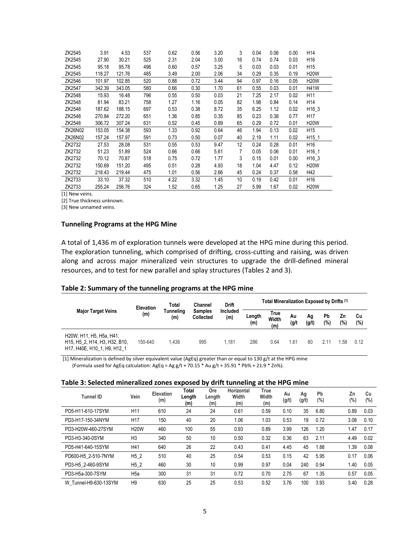| ZK2545  | 3.91   | 4.53   | 537 | 0.62 | 0.56 | 3.20 | 3  | 0.04 | 0.06 | 0.00 | H14               |  |
|---------|--------|--------|-----|------|------|------|----|------|------|------|-------------------|--|
| ZK2545  | 27.90  | 30.21  | 525 | 2.31 | 2.04 | 3.00 | 16 | 0.74 | 0.74 | 0.03 | H <sub>16</sub>   |  |
| ZK2545  | 95.18  | 95.78  | 496 | 0.60 | 0.57 | 3.25 | 5  | 0.03 | 0.03 | 0.01 | H <sub>15</sub>   |  |
| ZK2545  | 118.27 | 121.76 | 485 | 3.49 | 2.00 | 2.06 | 34 | 0.29 | 0.35 | 0.19 | <b>H20W</b>       |  |
| ZK2546  | 101.97 | 102.85 | 520 | 0.88 | 0.72 | 3.44 | 94 | 0.97 | 0.16 | 0.05 | <b>H20W</b>       |  |
| ZK2547  | 342.39 | 343.05 | 580 | 0.66 | 0.30 | 1.70 | 61 | 0.55 | 0.03 | 0.01 | <b>H41W</b>       |  |
| ZK2548  | 15.93  | 16.48  | 796 | 0.55 | 0.50 | 0.03 | 21 | 7.25 | 2.17 | 0.02 | H <sub>11</sub>   |  |
| ZK2548  | 81.94  | 83.21  | 758 | 1.27 | 1.16 | 0.05 | 82 | 1.98 | 0.84 | 0.14 | H <sub>14</sub>   |  |
| ZK2548  | 187.62 | 188.15 | 697 | 0.53 | 0.38 | 8.72 | 35 | 6.25 | 1.12 | 0.02 | H <sub>16</sub> 3 |  |
| ZK2548  | 270.84 | 272.20 | 651 | 1.36 | 0.85 | 0.35 | 85 | 0.23 | 0.38 | 0.77 | H17               |  |
| ZK2548  | 306.72 | 307.24 | 631 | 0.52 | 0.45 | 0.89 | 65 | 0.29 | 0.72 | 0.01 | <b>H20W</b>       |  |
| ZK26N02 | 153.05 | 154.38 | 593 | 1.33 | 0.92 | 0.64 | 46 | 1.94 | 0.13 | 0.02 | H <sub>15</sub>   |  |
| ZK26N02 | 157.24 | 157.97 | 591 | 0.73 | 0.50 | 0.07 | 40 | 2.19 | 1.11 | 0.02 | $H15_1$           |  |
| ZK2732  | 27.53  | 28.08  | 531 | 0.55 | 0.53 | 9.47 | 12 | 0.24 | 0.28 | 0.01 | H16               |  |
| ZK2732  | 51.23  | 51.89  | 524 | 0.66 | 0.66 | 5.61 | 7  | 0.05 | 0.06 | 0.01 | $H16_1$           |  |
| ZK2732  | 70.12  | 70.87  | 518 | 0.75 | 0.72 | 1.77 | 3  | 0.15 | 0.01 | 0.00 | H <sub>16</sub> 3 |  |
| ZK2732  | 150.69 | 151.20 | 495 | 0.51 | 0.28 | 4.93 | 18 | 1.04 | 4.47 | 0.12 | <b>H20W</b>       |  |
| ZK2732  | 218.43 | 219.44 | 475 | 1.01 | 0.56 | 2.66 | 45 | 0.24 | 0.37 | 0.58 | H42               |  |
| ZK2733  | 33.10  | 37.32  | 510 | 4.22 | 3.32 | 1.45 | 10 | 0.19 | 0.42 | 0.01 | H <sub>16</sub>   |  |
| ZK2733  | 255.24 | 256.76 | 324 | 1.52 | 0.65 | 1.25 | 27 | 5.99 | 1.67 | 0.02 | <b>H20W</b>       |  |

[1] New veins.

[2] True thickness unknown.

[3] New unnamed veins.

#### **Tunneling Programs at the HPG Mine**

A total of 1,436 m of exploration tunnels were developed at the HPG mine during this period. The exploration tunneling, which comprised of drifting, cross-cutting and raising, was driven along and across major mineralized vein structures to upgrade the drill-defined mineral resources, and to test for new parallel and splay structures (Tables 2 and 3).

#### **Table 2: Summary of the tunneling programs at the HPG mine**

|                                                                                                                                                           | <b>Elevation</b> | Total<br>Tunneling<br>(m) | Channel<br><b>Samples</b><br>Collected | <b>Drift</b><br>Included<br>(m) | Total Mineralization Exposed by Drifts [1] |                      |            |             |           |           |              |  |
|-----------------------------------------------------------------------------------------------------------------------------------------------------------|------------------|---------------------------|----------------------------------------|---------------------------------|--------------------------------------------|----------------------|------------|-------------|-----------|-----------|--------------|--|
| <b>Major Target Veins</b>                                                                                                                                 | (m)              |                           |                                        |                                 | Length<br>(m)                              | True<br>Width<br>(m) | Au<br>(g/t | Ag<br>(g/t) | Pb<br>(%) | Zn<br>(%) | Cu<br>$(\%)$ |  |
| H <sub>20</sub> W, H <sub>11</sub> , H <sub>5</sub> , H <sub>5a</sub> , H <sub>41</sub> ,<br>H15, H5 2, H14, H3, H32, B10,<br>H17, H40E, H10 1, H9, H12 1 | 150-640          | .436                      | 995                                    | 1.181                           | 286                                        | 0.64                 | 1.61       | 80          | 2.11      | .58       | 0.12         |  |

[1] Mineralization is defined by silver equivalent value (AgEq) greater than or equal to 130 g/t at the HPG mine (Formula used for AgEq calculation: AgEq = Ag  $g/t$  + 70.15  $*$  Au  $g/t$  + 35.91  $*$  Pb% + 21.9  $*$  Zn%).

#### **Table 3: Selected mineralized zones exposed by drift tunneling at the HPG mine**

| Tunnel ID             | Vein             | <b>Elevation</b><br>(m) | <b>Total</b><br>Length<br>(m) | Ore<br>Length<br>(m) | Horizontal<br>Width<br>(m) | True<br>Width<br>(m) | Au<br>(g/t) | Ag<br>(g/t) | Pb<br>(%) | Zn<br>(%) | Cu<br>(%) |
|-----------------------|------------------|-------------------------|-------------------------------|----------------------|----------------------------|----------------------|-------------|-------------|-----------|-----------|-----------|
| PD5-H11-610-17SYM     | H <sub>11</sub>  | 610                     | 24                            | 24                   | 0.61                       | 0.59                 | 0.10        | 35          | 6.80      | 0.89      | 0.03      |
| PD3-H17-150-34NYM     | H <sub>17</sub>  | 150                     | 40                            | 20                   | 1.06                       | 1.03                 | 0.53        | 19          | 0.72      | 3.08      | 0.10      |
| PD3-H20W-460-27SYM    | <b>H20W</b>      | 460                     | 100                           | 55                   | 0.93                       | 0.89                 | 3.99        | 126         | 1.20      | 1.47      | 0.17      |
| PD3-H3-340-0SYM       | H <sub>3</sub>   | 340                     | 50                            | 10                   | 0.50                       | 0.32                 | 0.36        | 63          | 2.11      | 4.49      | 0.02      |
| PD5-H41-640-15SYM     | H41              | 640                     | 26                            | 22                   | 0.43                       | 0.41                 | 4.45        | 45          | 1.88      | 1.39      | 0.08      |
| PD600-H5 2-510-7NYM   | H <sub>5</sub> 2 | 510                     | 40                            | 25                   | 0.54                       | 0.53                 | 0.15        | 42          | 5.95      | 0.17      | 0.06      |
| PD3-H5 2-460-9SYM     | H <sub>5</sub> 2 | 460                     | 30                            | 10                   | 0.99                       | 0.97                 | 0.04        | 240         | 0.94      | 1.40      | 0.05      |
| PD3-H5a-300-7SYM      | H <sub>5a</sub>  | 300                     | 31                            | 31                   | 0.72                       | 0.70                 | 2.75        | 67          | 1.35      | 0.57      | 0.05      |
| W Tunnel-H9-630-13SYM | H <sub>9</sub>   | 630                     | 25                            | 25                   | 0.53                       | 0.52                 | 3.76        | 100         | 3.93      | 3.40      | 0.28      |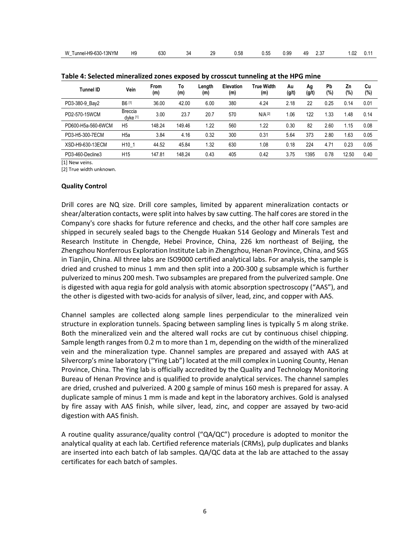| Funnel-H9-630-<br>13NYM<br>M<br>- | HC<br>. I v | 621<br>∪∪u | 54 | າດ<br>. .<br>- | $\overline{\phantom{a}}$<br>U.58 | --<br>.<br>∪.∪ພ | ) aa<br>∪.∪ປ | 49 | $\sim$<br>، ب ک | $\sim$<br>L.UZ | ◡. |
|-----------------------------------|-------------|------------|----|----------------|----------------------------------|-----------------|--------------|----|-----------------|----------------|----|
|-----------------------------------|-------------|------------|----|----------------|----------------------------------|-----------------|--------------|----|-----------------|----------------|----|

| Tunnel ID          | Vein                       | From<br>(m) | Т٥<br>(m) | Length<br>(m) | <b>Elevation</b><br>(m) | True Width<br>(m) | Au<br>(g/t) | Ag<br>(g/t) | Pb<br>(%) | Zn<br>(%) | Cu<br>(%) |
|--------------------|----------------------------|-------------|-----------|---------------|-------------------------|-------------------|-------------|-------------|-----------|-----------|-----------|
| PD3-380-9 Bay2     | B6 [1]                     | 36.00       | 42.00     | 6.00          | 380                     | 4.24              | 2.18        | 22          | 0.25      | 0.14      | 0.01      |
| PD2-570-15WCM      | <b>Breccia</b><br>dyke [1] | 3.00        | 23.7      | 20.7          | 570                     | $N/A$ [2]         | 1.06        | 122         | .33       | .48       | 0.14      |
| PD600-H5a-560-6WCM | H <sub>5</sub>             | 148.24      | 149.46    | 1.22          | 560                     | 1.22              | 0.30        | 82          | 2.60      | 1.15      | 0.08      |
| PD3-H5-300-7ECM    | H5a                        | 3.84        | 4.16      | 0.32          | 300                     | 0.31              | 5.64        | 373         | 2.80      | 1.63      | 0.05      |
| XSD-H9-630-13ECM   | H <sub>10</sub> 1          | 44.52       | 45.84     | 1.32          | 630                     | 1.08              | 0.18        | 224         | 4.71      | 0.23      | 0.05      |
| PD3-460-Decline3   | H <sub>15</sub>            | 147.81      | 148.24    | 0.43          | 405                     | 0.42              | 3.75        | 1395        | 0.78      | 12.50     | 0.40      |

| Table 4: Selected mineralized zones exposed by crosscut tunneling at the HPG mine |  |  |
|-----------------------------------------------------------------------------------|--|--|
|-----------------------------------------------------------------------------------|--|--|

[1] New veins.

[2] True width unknown.

#### **Quality Control**

Drill cores are NQ size. Drill core samples, limited by apparent mineralization contacts or shear/alteration contacts, were split into halves by saw cutting. The half cores are stored in the Company's core shacks for future reference and checks, and the other half core samples are shipped in securely sealed bags to the Chengde Huakan 514 Geology and Minerals Test and Research Institute in Chengde, Hebei Province, China, 226 km northeast of Beijing, the Zhengzhou Nonferrous Exploration Institute Lab in Zhengzhou, Henan Province, China, and SGS in Tianjin, China. All three labs are ISO9000 certified analytical labs. For analysis, the sample is dried and crushed to minus 1 mm and then split into a 200-300 g subsample which is further pulverized to minus 200 mesh. Two subsamples are prepared from the pulverized sample. One is digested with aqua regia for gold analysis with atomic absorption spectroscopy ("AAS"), and the other is digested with two-acids for analysis of silver, lead, zinc, and copper with AAS.

Channel samples are collected along sample lines perpendicular to the mineralized vein structure in exploration tunnels. Spacing between sampling lines is typically 5 m along strike. Both the mineralized vein and the altered wall rocks are cut by continuous chisel chipping. Sample length ranges from 0.2 m to more than 1 m, depending on the width of the mineralized vein and the mineralization type. Channel samples are prepared and assayed with AAS at Silvercorp's mine laboratory ("Ying Lab") located at the mill complex in Luoning County, Henan Province, China. The Ying lab is officially accredited by the Quality and Technology Monitoring Bureau of Henan Province and is qualified to provide analytical services. The channel samples are dried, crushed and pulverized. A 200 g sample of minus 160 mesh is prepared for assay. A duplicate sample of minus 1 mm is made and kept in the laboratory archives. Gold is analysed by fire assay with AAS finish, while silver, lead, zinc, and copper are assayed by two-acid digestion with AAS finish.

A routine quality assurance/quality control ("QA/QC") procedure is adopted to monitor the analytical quality at each lab. Certified reference materials (CRMs), pulp duplicates and blanks are inserted into each batch of lab samples. QA/QC data at the lab are attached to the assay certificates for each batch of samples.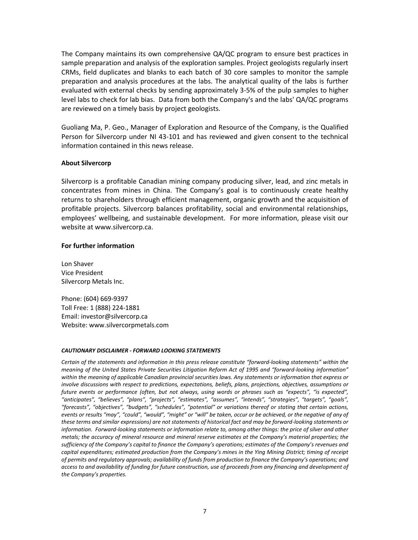The Company maintains its own comprehensive QA/QC program to ensure best practices in sample preparation and analysis of the exploration samples. Project geologists regularly insert CRMs, field duplicates and blanks to each batch of 30 core samples to monitor the sample preparation and analysis procedures at the labs. The analytical quality of the labs is further evaluated with external checks by sending approximately 3-5% of the pulp samples to higher level labs to check for lab bias. Data from both the Company's and the labs' QA/QC programs are reviewed on a timely basis by project geologists.

Guoliang Ma, P. Geo., Manager of Exploration and Resource of the Company, is the Qualified Person for Silvercorp under NI 43-101 and has reviewed and given consent to the technical information contained in this news release.

## **About Silvercorp**

Silvercorp is a profitable Canadian mining company producing silver, lead, and zinc metals in concentrates from mines in China. The Company's goal is to continuously create healthy returns to shareholders through efficient management, organic growth and the acquisition of profitable projects. Silvercorp balances profitability, social and environmental relationships, employees' wellbeing, and sustainable development. For more information, please visit our website at www.silvercorp.ca.

## **For further information**

Lon Shaver Vice President Silvercorp Metals Inc.

Phone: (604) 669-9397 Toll Free: 1 (888) 224-1881 Email: investor@silvercorp.ca Website: www.silvercorpmetals.com

### *CAUTIONARY DISCLAIMER - FORWARD LOOKING STATEMENTS*

*Certain of the statements and information in this press release constitute "forward-looking statements" within the meaning of the United States Private Securities Litigation Reform Act of 1995 and "forward-looking information"*  within the meaning of applicable Canadian provincial securities laws. Any statements or information that express or *involve discussions with respect to predictions, expectations, beliefs, plans, projections, objectives, assumptions or future events or performance (often, but not always, using words or phrases such as "expects", "is expected", "anticipates", "believes", "plans", "projects", "estimates", "assumes", "intends", "strategies", "targets", "goals", "forecasts", "objectives", "budgets", "schedules", "potential" or variations thereof or stating that certain actions, events or results "may", "could", "would", "might" or "will" be taken, occur or be achieved, or the negative of any of these terms and similar expressions) are not statements of historical fact and may be forward-looking statements or information. Forward-looking statements or information relate to, among other things: the price of silver and other metals; the accuracy of mineral resource and mineral reserve estimates at the Company's material properties; the sufficiency of the Company's capital to finance the Company's operations; estimates of the Company's revenues and capital expenditures; estimated production from the Company's mines in the Ying Mining District; timing of receipt of permits and regulatory approvals; availability of funds from production to finance the Company's operations; and access to and availability of funding for future construction, use of proceeds from any financing and development of the Company's properties.*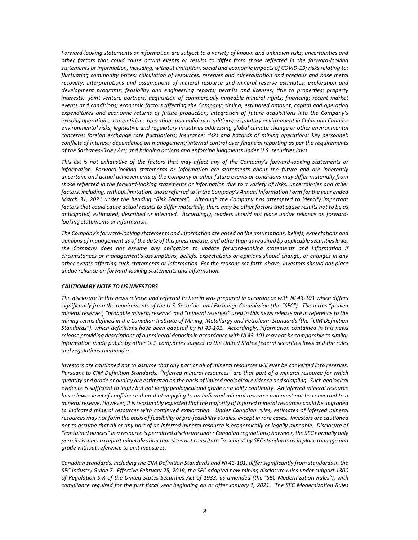Forward-looking statements or information are subject to a variety of known and unknown risks, uncertainties and *other factors that could cause actual events or results to differ from those reflected in the forward-looking statements or information, including, without limitation, social and economic impacts of COVID-19; risks relating to: fluctuating commodity prices; calculation of resources, reserves and mineralization and precious and base metal recovery; interpretations and assumptions of mineral resource and mineral reserve estimates; exploration and development programs; feasibility and engineering reports; permits and licenses; title to properties; property interests; joint venture partners; acquisition of commercially mineable mineral rights; financing; recent market* events and conditions; economic factors affecting the Company; timing, estimated amount, capital and operating *expenditures and economic returns of future production; integration of future acquisitions into the Company's existing operations; competition; operations and political conditions; regulatory environment in China and Canada;*  environmental risks; legislative and regulatory initiatives addressing global climate change or other environmental *concerns; foreign exchange rate fluctuations; insurance; risks and hazards of mining operations; key personnel;*  conflicts of interest; dependence on management; internal control over financial reporting as per the requirements *of the Sarbanes-Oxley Act; and bringing actions and enforcing judgments under U.S. securities laws.*

*This list is not exhaustive of the factors that may affect any of the Company's forward-looking statements or information. Forward-looking statements or information are statements about the future and are inherently uncertain, and actual achievements of the Company or other future events or conditions may differ materially from*  those reflected in the forward-looking statements or information due to a variety of risks, uncertainties and other *factors, including, without limitation, those referred to in the Company's Annual Information Form for the year ended March 31, 2021 under the heading "Risk Factors". Although the Company has attempted to identify important factors that could cause actual results to differ materially, there may be other factors that cause results not to be as anticipated, estimated, described or intended. Accordingly, readers should not place undue reliance on forwardlooking statements or information.* 

*The Company's forward-looking statements and information are based on the assumptions, beliefs, expectations and opinions of management as of the date of this press release, and other than as required by applicable securities laws, the Company does not assume any obligation to update forward-looking statements and information if circumstances or management's assumptions, beliefs, expectations or opinions should change, or changes in any other events affecting such statements or information. For the reasons set forth above, investors should not place undue reliance on forward-looking statements and information.*

#### *CAUTIONARY NOTE TO US INVESTORS*

*The disclosure in this news release and referred to herein was prepared in accordance with NI 43-101 which differs significantly from the requirements of the U.S. Securities and Exchange Commission (the "SEC"). The terms "proven mineral reserve", "probable mineral reserve" and "mineral reserves" used in this news release are in reference to the mining terms defined in the Canadian Institute of Mining, Metallurgy and Petroleum Standards (the "CIM Definition Standards"), which definitions have been adopted by NI 43-101. Accordingly, information contained in this news release providing descriptions of our mineral deposits in accordance with NI 43-101 may not be comparable to similar information made public by other U.S. companies subject to the United States federal securities laws and the rules and regulations thereunder.*

*Investors are cautioned not to assume that any part or all of mineral resources will ever be converted into reserves. Pursuant to CIM Definition Standards, "Inferred mineral resources" are that part of a mineral resource for which quantity and grade or quality are estimated on the basis of limited geological evidence and sampling. Such geological evidence is sufficient to imply but not verify geological and grade or quality continuity. An inferred mineral resource has a lower level of confidence than that applying to an indicated mineral resource and must not be converted to a mineral reserve. However, it is reasonably expected that the majority of inferred mineral resources could be upgraded*  to indicated mineral resources with continued exploration. Under Canadian rules, estimates of inferred mineral *resources may not form the basis of feasibility or pre-feasibility studies, except in rare cases. Investors are cautioned*  not to assume that all or any part of an inferred mineral resource is economically or legally mineable. Disclosure of *"contained ounces" in a resource is permitted disclosure under Canadian regulations; however, the SEC normally only permits issuers to report mineralization that does not constitute "reserves" by SEC standards as in place tonnage and grade without reference to unit measures.*

*Canadian standards, including the CIM Definition Standards and NI 43-101, differ significantly from standards in the SEC Industry Guide 7. Effective February 25, 2019, the SEC adopted new mining disclosure rules under subpart 1300 of Regulation S-K of the United States Securities Act of 1933, as amended (the "SEC Modernization Rules"), with compliance required for the first fiscal year beginning on or after January 1, 2021. The SEC Modernization Rules*